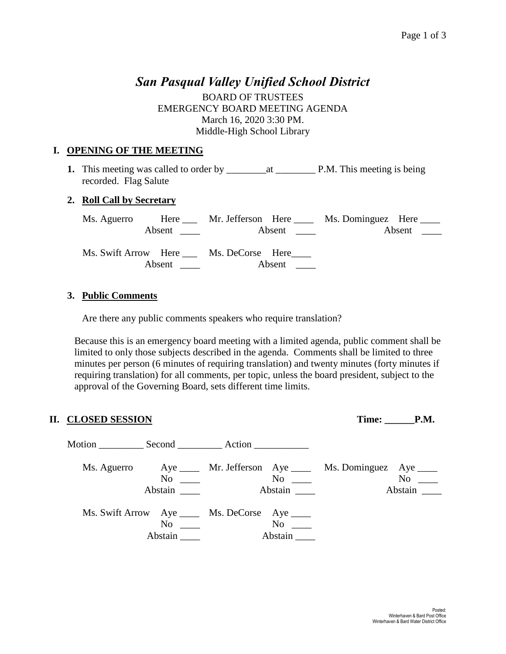# *San Pasqual Valley Unified School District*

BOARD OF TRUSTEES EMERGENCY BOARD MEETING AGENDA March 16, 2020 3:30 PM. Middle-High School Library

## **I. OPENING OF THE MEETING**

**1.** This meeting was called to order by \_\_\_\_\_\_\_\_at \_\_\_\_\_\_\_\_ P.M. This meeting is being recorded. Flag Salute

#### **2. Roll Call by Secretary**

Ms. Aguerro Here Mr. Jefferson Here Ms. Dominguez Here Absent Absent \_\_\_\_ Absent \_\_\_ Ms. Swift Arrow Here \_\_\_ Ms. DeCorse Here\_\_\_\_ Absent Absent \_\_\_\_

#### **3. Public Comments**

Are there any public comments speakers who require translation?

Because this is an emergency board meeting with a limited agenda, public comment shall be limited to only those subjects described in the agenda. Comments shall be limited to three minutes per person (6 minutes of requiring translation) and twenty minutes (forty minutes if requiring translation) for all comments, per topic, unless the board president, subject to the approval of the Governing Board, sets different time limits.

### **II. CLOSED SESSION Time: \_\_\_\_\_\_P.M.**

| Motion Second Action |                                                                             |               |                                                            |                                        |
|----------------------|-----------------------------------------------------------------------------|---------------|------------------------------------------------------------|----------------------------------------|
| Ms. Aguerro          | No<br>Abstain                                                               | No<br>Abstain | Aye ______ Mr. Jefferson Aye _____ Ms. Dominguez Aye _____ | No<br>Abstain $\overline{\phantom{a}}$ |
|                      | Ms. Swift Arrow Aye _____ Ms. DeCorse Aye ____<br>N <sub>0</sub><br>Abstain | No<br>Abstain |                                                            |                                        |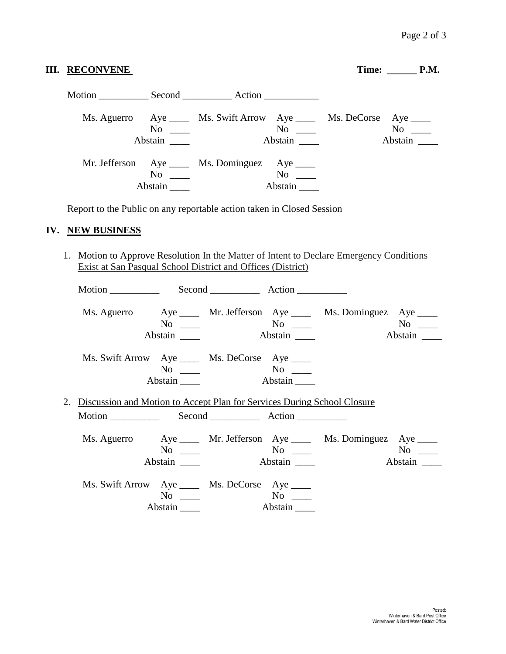| <b>III. RECONVENE</b>                                                                                                                                         |                      |                                                                                    |         |  | $Time:$ $P.M.$ |  |
|---------------------------------------------------------------------------------------------------------------------------------------------------------------|----------------------|------------------------------------------------------------------------------------|---------|--|----------------|--|
|                                                                                                                                                               |                      |                                                                                    |         |  |                |  |
|                                                                                                                                                               | $No \ \_$<br>Abstain | Ms. Aguerro Aye ______ Ms. Swift Arrow Aye ______ Ms. DeCorse Aye _____<br>Abstain |         |  | Abstain        |  |
|                                                                                                                                                               | $No \ \_$<br>Abstain | Mr. Jefferson Aye ____ Ms. Dominguez Aye ____                                      | Abstain |  |                |  |
| Report to the Public on any reportable action taken in Closed Session<br>IV. NEW BUSINESS                                                                     |                      |                                                                                    |         |  |                |  |
| 1. Motion to Approve Resolution In the Matter of Intent to Declare Emergency Conditions<br><b>Exist at San Pasqual School District and Offices (District)</b> |                      |                                                                                    |         |  |                |  |
| Motion                                                                                                                                                        |                      | Second Action                                                                      |         |  |                |  |

|                                                                            |           |                                                 |         | Ms. Aguerro Aye ____ Mr. Jefferson Aye ____ Ms. Dominguez Aye ____   |         |
|----------------------------------------------------------------------------|-----------|-------------------------------------------------|---------|----------------------------------------------------------------------|---------|
|                                                                            | $No \_\_$ |                                                 |         |                                                                      |         |
|                                                                            | Abstain   |                                                 | Abstain |                                                                      | Abstain |
|                                                                            |           |                                                 |         |                                                                      |         |
| Ms. Swift Arrow Aye _____ Ms. DeCorse Aye ____                             |           |                                                 |         |                                                                      |         |
|                                                                            | $No \ \_$ | $\overline{\text{No}}$ $\overline{\phantom{0}}$ |         |                                                                      |         |
|                                                                            | Abstain   |                                                 | Abstain |                                                                      |         |
|                                                                            |           |                                                 |         |                                                                      |         |
| 2. Discussion and Motion to Accept Plan for Services During School Closure |           |                                                 |         |                                                                      |         |
|                                                                            |           |                                                 |         |                                                                      |         |
|                                                                            |           |                                                 |         |                                                                      |         |
|                                                                            |           |                                                 |         | Ms. Aguerro Aye _____ Mr. Jefferson Aye _____ Ms. Dominguez Aye ____ |         |
|                                                                            | $No \_\_$ |                                                 |         |                                                                      |         |
|                                                                            |           |                                                 |         |                                                                      |         |
|                                                                            | Abstain   |                                                 | Abstain |                                                                      | Abstain |
|                                                                            |           |                                                 |         |                                                                      |         |
| Ms. Swift Arrow Aye _____ Ms. DeCorse Aye ____                             |           |                                                 |         |                                                                      |         |
|                                                                            | $No \_\_$ |                                                 |         |                                                                      |         |
|                                                                            | Abstain   | Abstain                                         |         |                                                                      |         |
|                                                                            |           |                                                 |         |                                                                      |         |